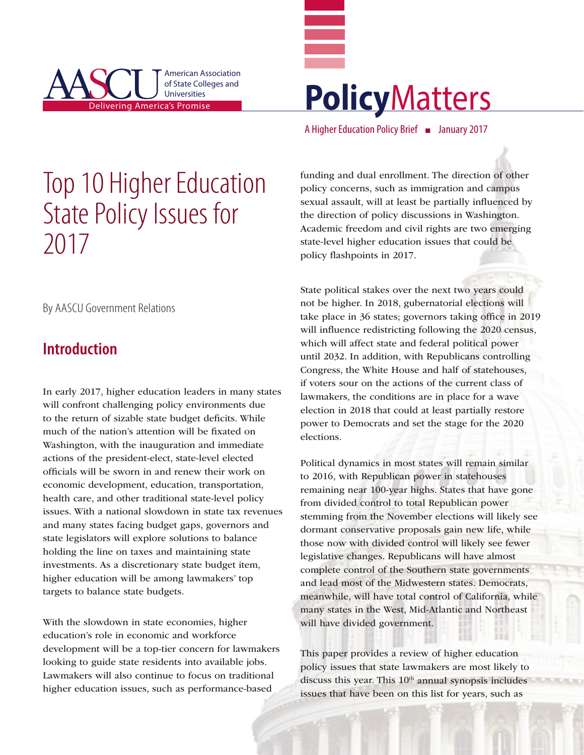



A Higher Education Policy Brief ■ January 2017

# Top 10 Higher Education State Policy Issues for 2017

By AASCU Government Relations

## **Introduction**

In early 2017, higher education leaders in many states will confront challenging policy environments due to the return of sizable state budget deficits. While much of the nation's attention will be fixated on Washington, with the inauguration and immediate actions of the president-elect, state-level elected officials will be sworn in and renew their work on economic development, education, transportation, health care, and other traditional state-level policy issues. With a national slowdown in state tax revenues and many states facing budget gaps, governors and state legislators will explore solutions to balance holding the line on taxes and maintaining state investments. As a discretionary state budget item, higher education will be among lawmakers' top targets to balance state budgets.

With the slowdown in state economies, higher education's role in economic and workforce development will be a top-tier concern for lawmakers looking to guide state residents into available jobs. Lawmakers will also continue to focus on traditional higher education issues, such as performance-based

funding and dual enrollment. The direction of other policy concerns, such as immigration and campus sexual assault, will at least be partially influenced by the direction of policy discussions in Washington. Academic freedom and civil rights are two emerging state-level higher education issues that could be policy flashpoints in 2017.

State political stakes over the next two years could not be higher. In 2018, gubernatorial elections will take place in 36 states; governors taking office in 2019 will influence redistricting following the 2020 census, which will affect state and federal political power until 2032. In addition, with Republicans controlling Congress, the White House and half of statehouses, if voters sour on the actions of the current class of lawmakers, the conditions are in place for a wave election in 2018 that could at least partially restore power to Democrats and set the stage for the 2020 elections.

Political dynamics in most states will remain similar to 2016, with Republican power in statehouses remaining near 100-year highs. States that have gone from divided control to total Republican power stemming from the November elections will likely see dormant conservative proposals gain new life, while those now with divided control will likely see fewer legislative changes. Republicans will have almost complete control of the Southern state governments and lead most of the Midwestern states. Democrats, meanwhile, will have total control of California, while many states in the West, Mid-Atlantic and Northeast will have divided government.

This paper provides a review of higher education policy issues that state lawmakers are most likely to discuss this year. This  $10<sup>th</sup>$  annual synopsis includes issues that have been on this list for years, such as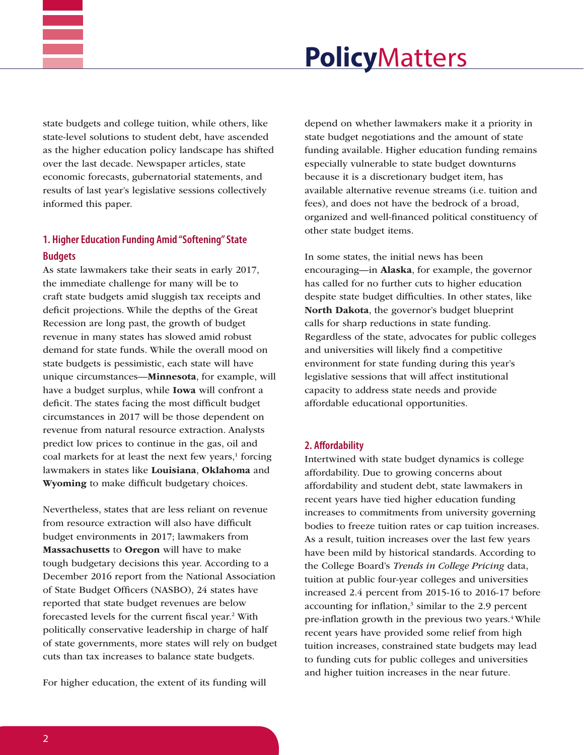

state budgets and college tuition, while others, like state-level solutions to student debt, have ascended as the higher education policy landscape has shifted over the last decade. Newspaper articles, state economic forecasts, gubernatorial statements, and results of last year's legislative sessions collectively informed this paper.

### **1. Higher Education Funding Amid "Softening" State Budgets**

As state lawmakers take their seats in early 2017, the immediate challenge for many will be to craft state budgets amid sluggish tax receipts and deficit projections. While the depths of the Great Recession are long past, the growth of budget revenue in many states has slowed amid robust demand for state funds. While the overall mood on state budgets is pessimistic, each state will have unique circumstances—Minnesota, for example, will have a budget surplus, while Iowa will confront a deficit. The states facing the most difficult budget circumstances in 2017 will be those dependent on revenue from natural resource extraction. Analysts predict low prices to continue in the gas, oil and coal markets for at least the next few years,<sup>1</sup> forcing lawmakers in states like Louisiana, Oklahoma and Wyoming to make difficult budgetary choices.

Nevertheless, states that are less reliant on revenue from resource extraction will also have difficult budget environments in 2017; lawmakers from Massachusetts to Oregon will have to make tough budgetary decisions this year. According to a December 2016 report from the National Association of State Budget Officers (NASBO), 24 states have reported that state budget revenues are below forecasted levels for the current fiscal year.<sup>2</sup> With politically conservative leadership in charge of half of state governments, more states will rely on budget cuts than tax increases to balance state budgets.

For higher education, the extent of its funding will

depend on whether lawmakers make it a priority in state budget negotiations and the amount of state funding available. Higher education funding remains especially vulnerable to state budget downturns because it is a discretionary budget item, has available alternative revenue streams (i.e. tuition and fees), and does not have the bedrock of a broad, organized and well-financed political constituency of other state budget items.

In some states, the initial news has been encouraging—in Alaska, for example, the governor has called for no further cuts to higher education despite state budget difficulties. In other states, like North Dakota, the governor's budget blueprint calls for sharp reductions in state funding. Regardless of the state, advocates for public colleges and universities will likely find a competitive environment for state funding during this year's legislative sessions that will affect institutional capacity to address state needs and provide affordable educational opportunities.

#### **2. Affordability**

Intertwined with state budget dynamics is college affordability. Due to growing concerns about affordability and student debt, state lawmakers in recent years have tied higher education funding increases to commitments from university governing bodies to freeze tuition rates or cap tuition increases. As a result, tuition increases over the last few years have been mild by historical standards. According to the College Board's *Trends in College Pricing* data, tuition at public four-year colleges and universities increased 2.4 percent from 2015-16 to 2016-17 before accounting for inflation, $3 \sin \theta$  to the 2.9 percent pre-inflation growth in the previous two years.<sup>4</sup> While recent years have provided some relief from high tuition increases, constrained state budgets may lead to funding cuts for public colleges and universities and higher tuition increases in the near future.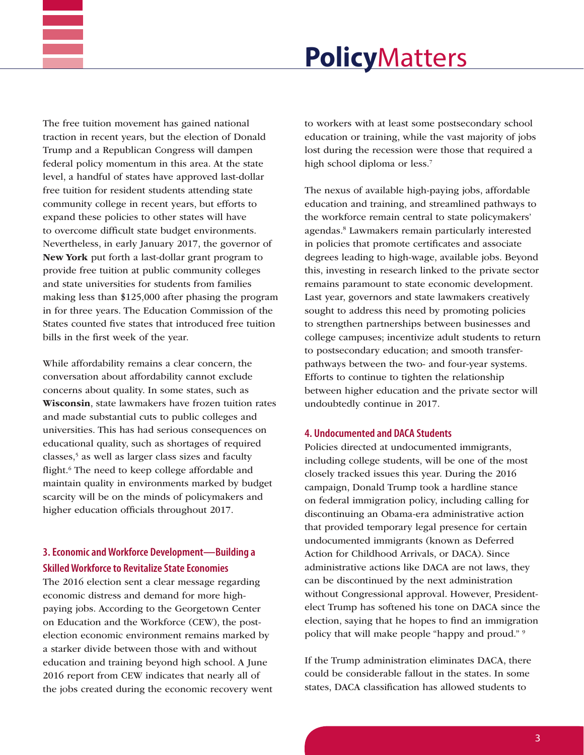

The free tuition movement has gained national traction in recent years, but the election of Donald Trump and a Republican Congress will dampen federal policy momentum in this area. At the state level, a handful of states have approved last-dollar free tuition for resident students attending state community college in recent years, but efforts to expand these policies to other states will have to overcome difficult state budget environments. Nevertheless, in early January 2017, the governor of New York put forth a last-dollar grant program to provide free tuition at public community colleges and state universities for students from families making less than \$125,000 after phasing the program in for three years. The Education Commission of the States counted five states that introduced free tuition bills in the first week of the year.

While affordability remains a clear concern, the conversation about affordability cannot exclude concerns about quality. In some states, such as Wisconsin, state lawmakers have frozen tuition rates and made substantial cuts to public colleges and universities. This has had serious consequences on educational quality, such as shortages of required classes,5 as well as larger class sizes and faculty flight.<sup>6</sup> The need to keep college affordable and maintain quality in environments marked by budget scarcity will be on the minds of policymakers and higher education officials throughout 2017.

### **3. Economic and Workforce Development—Building a Skilled Workforce to Revitalize State Economies**

The 2016 election sent a clear message regarding economic distress and demand for more highpaying jobs. According to the Georgetown Center on Education and the Workforce (CEW), the postelection economic environment remains marked by a starker divide between those with and without education and training beyond high school. A June 2016 report from CEW indicates that nearly all of the jobs created during the economic recovery went to workers with at least some postsecondary school education or training, while the vast majority of jobs lost during the recession were those that required a high school diploma or less.<sup>7</sup>

The nexus of available high-paying jobs, affordable education and training, and streamlined pathways to the workforce remain central to state policymakers' agendas.8 Lawmakers remain particularly interested in policies that promote certificates and associate degrees leading to high-wage, available jobs. Beyond this, investing in research linked to the private sector remains paramount to state economic development. Last year, governors and state lawmakers creatively sought to address this need by promoting policies to strengthen partnerships between businesses and college campuses; incentivize adult students to return to postsecondary education; and smooth transferpathways between the two- and four-year systems. Efforts to continue to tighten the relationship between higher education and the private sector will undoubtedly continue in 2017.

#### **4. Undocumented and DACA Students**

Policies directed at undocumented immigrants, including college students, will be one of the most closely tracked issues this year. During the 2016 campaign, Donald Trump took a hardline stance on federal immigration policy, including calling for discontinuing an Obama-era administrative action that provided temporary legal presence for certain undocumented immigrants (known as Deferred Action for Childhood Arrivals, or DACA). Since administrative actions like DACA are not laws, they can be discontinued by the next administration without Congressional approval. However, Presidentelect Trump has softened his tone on DACA since the election, saying that he hopes to find an immigration policy that will make people "happy and proud." 9

If the Trump administration eliminates DACA, there could be considerable fallout in the states. In some states, DACA classification has allowed students to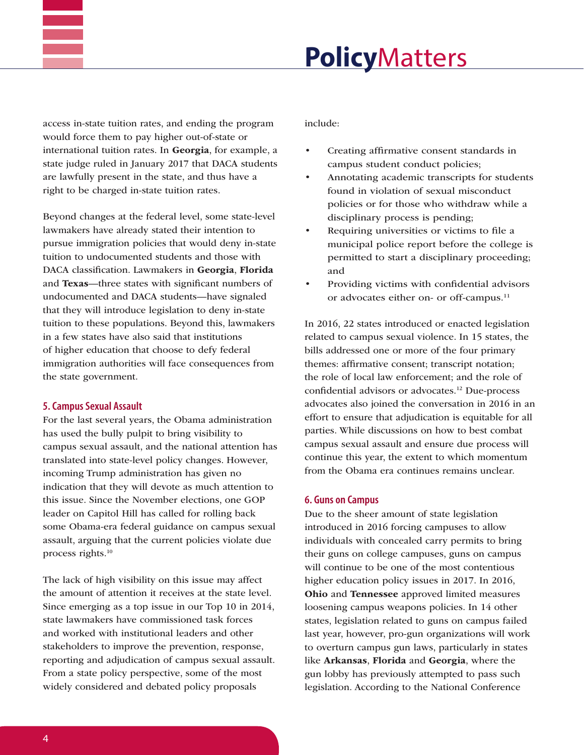

access in-state tuition rates, and ending the program would force them to pay higher out-of-state or international tuition rates. In Georgia, for example, a state judge ruled in January 2017 that DACA students are lawfully present in the state, and thus have a right to be charged in-state tuition rates.

Beyond changes at the federal level, some state-level lawmakers have already stated their intention to pursue immigration policies that would deny in-state tuition to undocumented students and those with DACA classification. Lawmakers in Georgia, Florida and Texas—three states with significant numbers of undocumented and DACA students—have signaled that they will introduce legislation to deny in-state tuition to these populations. Beyond this, lawmakers in a few states have also said that institutions of higher education that choose to defy federal immigration authorities will face consequences from the state government.

#### **5. Campus Sexual Assault**

For the last several years, the Obama administration has used the bully pulpit to bring visibility to campus sexual assault, and the national attention has translated into state-level policy changes. However, incoming Trump administration has given no indication that they will devote as much attention to this issue. Since the November elections, one GOP leader on Capitol Hill has called for rolling back some Obama-era federal guidance on campus sexual assault, arguing that the current policies violate due process rights.10

The lack of high visibility on this issue may affect the amount of attention it receives at the state level. Since emerging as a top issue in our Top 10 in 2014, state lawmakers have commissioned task forces and worked with institutional leaders and other stakeholders to improve the prevention, response, reporting and adjudication of campus sexual assault. From a state policy perspective, some of the most widely considered and debated policy proposals

include:

- Creating affirmative consent standards in campus student conduct policies;
- Annotating academic transcripts for students found in violation of sexual misconduct policies or for those who withdraw while a disciplinary process is pending;
- Requiring universities or victims to file a municipal police report before the college is permitted to start a disciplinary proceeding; and
- Providing victims with confidential advisors or advocates either on- or off-campus.<sup>11</sup>

In 2016, 22 states introduced or enacted legislation related to campus sexual violence. In 15 states, the bills addressed one or more of the four primary themes: affirmative consent; transcript notation; the role of local law enforcement; and the role of confidential advisors or advocates.12 Due-process advocates also joined the conversation in 2016 in an effort to ensure that adjudication is equitable for all parties. While discussions on how to best combat campus sexual assault and ensure due process will continue this year, the extent to which momentum from the Obama era continues remains unclear.

#### **6. Guns on Campus**

Due to the sheer amount of state legislation introduced in 2016 forcing campuses to allow individuals with concealed carry permits to bring their guns on college campuses, guns on campus will continue to be one of the most contentious higher education policy issues in 2017. In 2016, Ohio and Tennessee approved limited measures loosening campus weapons policies. In 14 other states, legislation related to guns on campus failed last year, however, pro-gun organizations will work to overturn campus gun laws, particularly in states like Arkansas, Florida and Georgia, where the gun lobby has previously attempted to pass such legislation. According to the National Conference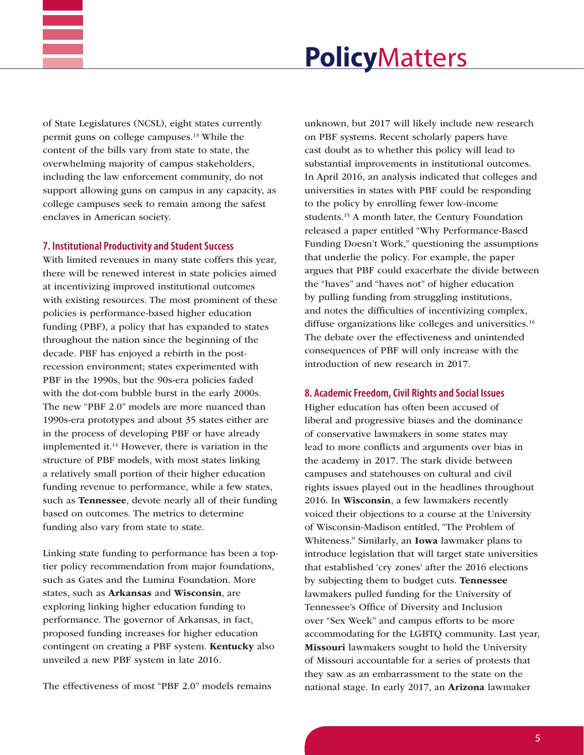

of State Legislatures (NCSL), eight states currently permit guns on college campuses.13 While the content of the bills vary from state to state, the overwhelming majority of campus stakeholders, including the law enforcement community, do not support allowing guns on campus in any capacity, as college campuses seek to remain among the safest enclaves in American society.

#### **7. Institutional Productivity and Student Success**

With limited revenues in many state coffers this year, there will be renewed interest in state policies aimed at incentivizing improved institutional outcomes with existing resources. The most prominent of these policies is performance-based higher education funding (PBF), a policy that has expanded to states throughout the nation since the beginning of the decade. PBF has enjoyed a rebirth in the postrecession environment; states experimented with PBF in the 1990s, but the 90s-era policies faded with the dot-com bubble burst in the early 2000s. The new "PBF 2.0" models are more nuanced than 1990s-era prototypes and about 35 states either are in the process of developing PBF or have already implemented it.<sup>14</sup> However, there is variation in the structure of PBF models, with most states linking a relatively small portion of their higher education funding revenue to performance, while a few states, such as Tennessee, devote nearly all of their funding based on outcomes. The metrics to determine funding also vary from state to state.

Linking state funding to performance has been a toptier policy recommendation from major foundations, such as Gates and the Lumina Foundation. More states, such as Arkansas and Wisconsin, are exploring linking higher education funding to performance. The governor of Arkansas, in fact, proposed funding increases for higher education contingent on creating a PBF system. Kentucky also unveiled a new PBF system in late 2016.

The effectiveness of most "PBF 2.0" models remains

unknown, but 2017 will likely include new research on PBF systems. Recent scholarly papers have cast doubt as to whether this policy will lead to substantial improvements in institutional outcomes. In April 2016, an analysis indicated that colleges and universities in states with PBF could be responding to the policy by enrolling fewer low-income students.15 A month later, the Century Foundation released a paper entitled "Why Performance-Based Funding Doesn't Work," questioning the assumptions that underlie the policy. For example, the paper argues that PBF could exacerbate the divide between the "haves" and "haves not" of higher education by pulling funding from struggling institutions, and notes the difficulties of incentivizing complex, diffuse organizations like colleges and universities.<sup>16</sup> The debate over the effectiveness and unintended consequences of PBF will only increase with the introduction of new research in 2017.

#### **8. Academic Freedom, Civil Rights and Social Issues**

Higher education has often been accused of liberal and progressive biases and the dominance of conservative lawmakers in some states may lead to more conflicts and arguments over bias in the academy in 2017. The stark divide between campuses and statehouses on cultural and civil rights issues played out in the headlines throughout 2016. In Wisconsin, a few lawmakers recently voiced their objections to a course at the University of Wisconsin-Madison entitled, "The Problem of Whiteness." Similarly, an Iowa lawmaker plans to introduce legislation that will target state universities that established 'cry zones' after the 2016 elections by subjecting them to budget cuts. Tennessee lawmakers pulled funding for the University of Tennessee's Office of Diversity and Inclusion over "Sex Week" and campus efforts to be more accommodating for the LGBTQ community. Last year, Missouri lawmakers sought to hold the University of Missouri accountable for a series of protests that they saw as an embarrassment to the state on the national stage. In early 2017, an Arizona lawmaker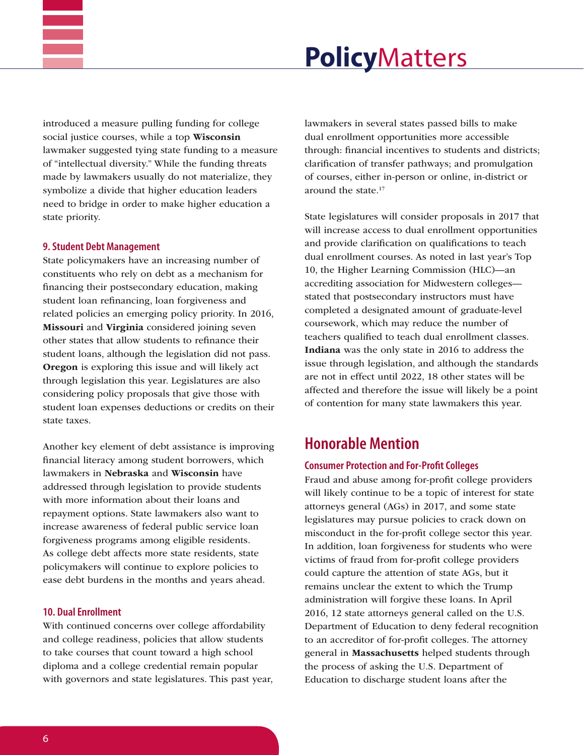

introduced a measure pulling funding for college social justice courses, while a top Wisconsin lawmaker suggested tying state funding to a measure of "intellectual diversity." While the funding threats made by lawmakers usually do not materialize, they symbolize a divide that higher education leaders need to bridge in order to make higher education a state priority.

#### **9. Student Debt Management**

State policymakers have an increasing number of constituents who rely on debt as a mechanism for financing their postsecondary education, making student loan refinancing, loan forgiveness and related policies an emerging policy priority. In 2016, Missouri and Virginia considered joining seven other states that allow students to refinance their student loans, although the legislation did not pass. Oregon is exploring this issue and will likely act through legislation this year. Legislatures are also considering policy proposals that give those with student loan expenses deductions or credits on their state taxes.

Another key element of debt assistance is improving financial literacy among student borrowers, which lawmakers in Nebraska and Wisconsin have addressed through legislation to provide students with more information about their loans and repayment options. State lawmakers also want to increase awareness of federal public service loan forgiveness programs among eligible residents. As college debt affects more state residents, state policymakers will continue to explore policies to ease debt burdens in the months and years ahead.

#### **10. Dual Enrollment**

With continued concerns over college affordability and college readiness, policies that allow students to take courses that count toward a high school diploma and a college credential remain popular with governors and state legislatures. This past year, lawmakers in several states passed bills to make dual enrollment opportunities more accessible through: financial incentives to students and districts; clarification of transfer pathways; and promulgation of courses, either in-person or online, in-district or around the state.17

State legislatures will consider proposals in 2017 that will increase access to dual enrollment opportunities and provide clarification on qualifications to teach dual enrollment courses. As noted in last year's Top 10, the Higher Learning Commission (HLC)—an accrediting association for Midwestern colleges stated that postsecondary instructors must have completed a designated amount of graduate-level coursework, which may reduce the number of teachers qualified to teach dual enrollment classes. Indiana was the only state in 2016 to address the issue through legislation, and although the standards are not in effect until 2022, 18 other states will be affected and therefore the issue will likely be a point of contention for many state lawmakers this year.

### **Honorable Mention**

#### **Consumer Protection and For-Profit Colleges**

Fraud and abuse among for-profit college providers will likely continue to be a topic of interest for state attorneys general (AGs) in 2017, and some state legislatures may pursue policies to crack down on misconduct in the for-profit college sector this year. In addition, loan forgiveness for students who were victims of fraud from for-profit college providers could capture the attention of state AGs, but it remains unclear the extent to which the Trump administration will forgive these loans. In April 2016, 12 state attorneys general called on the U.S. Department of Education to deny federal recognition to an accreditor of for-profit colleges. The attorney general in Massachusetts helped students through the process of asking the U.S. Department of Education to discharge student loans after the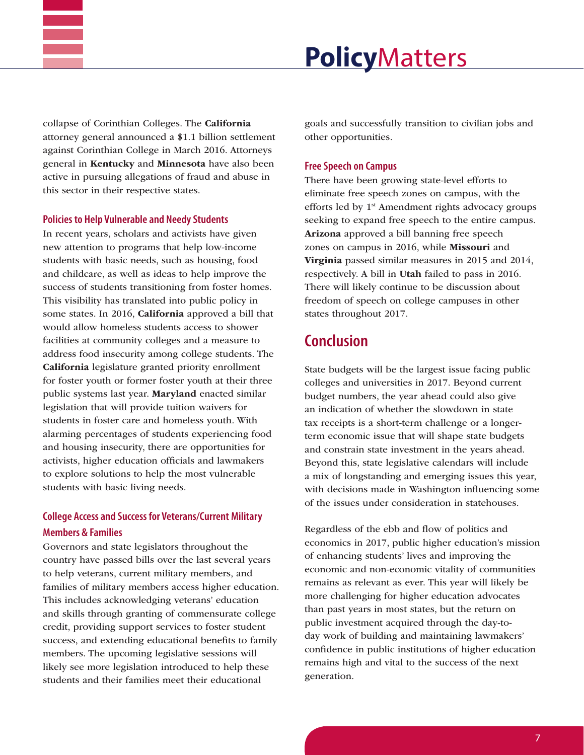

collapse of Corinthian Colleges. The California attorney general announced a \$1.1 billion settlement against Corinthian College in March 2016. Attorneys general in Kentucky and Minnesota have also been active in pursuing allegations of fraud and abuse in this sector in their respective states.

#### **Policies to Help Vulnerable and Needy Students**

In recent years, scholars and activists have given new attention to programs that help low-income students with basic needs, such as housing, food and childcare, as well as ideas to help improve the success of students transitioning from foster homes. This visibility has translated into public policy in some states. In 2016, California approved a bill that would allow homeless students access to shower facilities at community colleges and a measure to address food insecurity among college students. The California legislature granted priority enrollment for foster youth or former foster youth at their three public systems last year. Maryland enacted similar legislation that will provide tuition waivers for students in foster care and homeless youth. With alarming percentages of students experiencing food and housing insecurity, there are opportunities for activists, higher education officials and lawmakers to explore solutions to help the most vulnerable students with basic living needs.

### **College Access and Success for Veterans/Current Military Members & Families**

Governors and state legislators throughout the country have passed bills over the last several years to help veterans, current military members, and families of military members access higher education. This includes acknowledging veterans' education and skills through granting of commensurate college credit, providing support services to foster student success, and extending educational benefits to family members. The upcoming legislative sessions will likely see more legislation introduced to help these students and their families meet their educational

goals and successfully transition to civilian jobs and other opportunities.

### **Free Speech on Campus**

There have been growing state-level efforts to eliminate free speech zones on campus, with the efforts led by 1<sup>st</sup> Amendment rights advocacy groups seeking to expand free speech to the entire campus. Arizona approved a bill banning free speech zones on campus in 2016, while Missouri and Virginia passed similar measures in 2015 and 2014, respectively. A bill in Utah failed to pass in 2016. There will likely continue to be discussion about freedom of speech on college campuses in other states throughout 2017.

## **Conclusion**

State budgets will be the largest issue facing public colleges and universities in 2017. Beyond current budget numbers, the year ahead could also give an indication of whether the slowdown in state tax receipts is a short-term challenge or a longerterm economic issue that will shape state budgets and constrain state investment in the years ahead. Beyond this, state legislative calendars will include a mix of longstanding and emerging issues this year, with decisions made in Washington influencing some of the issues under consideration in statehouses.

Regardless of the ebb and flow of politics and economics in 2017, public higher education's mission of enhancing students' lives and improving the economic and non-economic vitality of communities remains as relevant as ever. This year will likely be more challenging for higher education advocates than past years in most states, but the return on public investment acquired through the day-today work of building and maintaining lawmakers' confidence in public institutions of higher education remains high and vital to the success of the next generation.